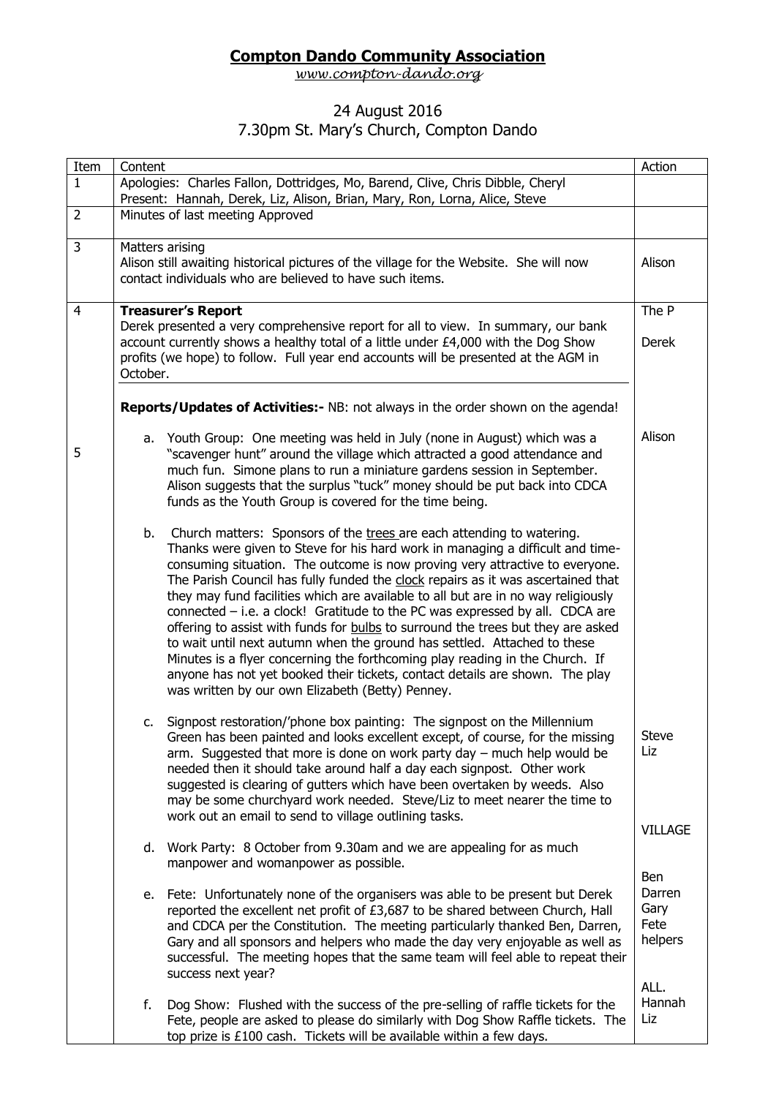## **Compton Dando Community Association**

*[www.compton-dando.org](http://www.compton-dando.org/)*

## 24 August 2016

## 7.30pm St. Mary's Church, Compton Dando

| Item           | Content                                                                                                                                                                                                                                                                                                                                                                                                                                                                                                                                                                                                                                                                                                                                                                                                                                                                                           | Action                                   |  |  |
|----------------|---------------------------------------------------------------------------------------------------------------------------------------------------------------------------------------------------------------------------------------------------------------------------------------------------------------------------------------------------------------------------------------------------------------------------------------------------------------------------------------------------------------------------------------------------------------------------------------------------------------------------------------------------------------------------------------------------------------------------------------------------------------------------------------------------------------------------------------------------------------------------------------------------|------------------------------------------|--|--|
| $\mathbf{1}$   | Apologies: Charles Fallon, Dottridges, Mo, Barend, Clive, Chris Dibble, Cheryl<br>Present: Hannah, Derek, Liz, Alison, Brian, Mary, Ron, Lorna, Alice, Steve                                                                                                                                                                                                                                                                                                                                                                                                                                                                                                                                                                                                                                                                                                                                      |                                          |  |  |
| $\overline{2}$ | Minutes of last meeting Approved                                                                                                                                                                                                                                                                                                                                                                                                                                                                                                                                                                                                                                                                                                                                                                                                                                                                  |                                          |  |  |
| $\overline{3}$ | Matters arising<br>Alison still awaiting historical pictures of the village for the Website. She will now<br>contact individuals who are believed to have such items.                                                                                                                                                                                                                                                                                                                                                                                                                                                                                                                                                                                                                                                                                                                             |                                          |  |  |
| $\overline{4}$ | <b>Treasurer's Report</b><br>Derek presented a very comprehensive report for all to view. In summary, our bank<br>account currently shows a healthy total of a little under £4,000 with the Dog Show<br>profits (we hope) to follow. Full year end accounts will be presented at the AGM in<br>October.                                                                                                                                                                                                                                                                                                                                                                                                                                                                                                                                                                                           | The P<br><b>Derek</b>                    |  |  |
|                | Reports/Updates of Activities:- NB: not always in the order shown on the agenda!                                                                                                                                                                                                                                                                                                                                                                                                                                                                                                                                                                                                                                                                                                                                                                                                                  |                                          |  |  |
| 5              | a. Youth Group: One meeting was held in July (none in August) which was a<br>"scavenger hunt" around the village which attracted a good attendance and<br>much fun. Simone plans to run a miniature gardens session in September.<br>Alison suggests that the surplus "tuck" money should be put back into CDCA<br>funds as the Youth Group is covered for the time being.                                                                                                                                                                                                                                                                                                                                                                                                                                                                                                                        | Alison                                   |  |  |
|                | Church matters: Sponsors of the trees are each attending to watering.<br>b.<br>Thanks were given to Steve for his hard work in managing a difficult and time-<br>consuming situation. The outcome is now proving very attractive to everyone.<br>The Parish Council has fully funded the clock repairs as it was ascertained that<br>they may fund facilities which are available to all but are in no way religiously<br>connected - i.e. a clock! Gratitude to the PC was expressed by all. CDCA are<br>offering to assist with funds for <b>bulbs</b> to surround the trees but they are asked<br>to wait until next autumn when the ground has settled. Attached to these<br>Minutes is a flyer concerning the forthcoming play reading in the Church. If<br>anyone has not yet booked their tickets, contact details are shown. The play<br>was written by our own Elizabeth (Betty) Penney. |                                          |  |  |
|                | c. Signpost restoration/'phone box painting: The signpost on the Millennium<br>Green has been painted and looks excellent except, of course, for the missing<br>arm. Suggested that more is done on work party day $-$ much help would be<br>needed then it should take around half a day each signpost. Other work<br>suggested is clearing of gutters which have been overtaken by weeds. Also<br>may be some churchyard work needed. Steve/Liz to meet nearer the time to<br>work out an email to send to village outlining tasks.                                                                                                                                                                                                                                                                                                                                                             | <b>Steve</b><br>Liz<br><b>VILLAGE</b>    |  |  |
|                | d. Work Party: 8 October from 9.30am and we are appealing for as much<br>manpower and womanpower as possible.                                                                                                                                                                                                                                                                                                                                                                                                                                                                                                                                                                                                                                                                                                                                                                                     |                                          |  |  |
|                | e. Fete: Unfortunately none of the organisers was able to be present but Derek<br>reported the excellent net profit of £3,687 to be shared between Church, Hall<br>and CDCA per the Constitution. The meeting particularly thanked Ben, Darren,<br>Gary and all sponsors and helpers who made the day very enjoyable as well as<br>successful. The meeting hopes that the same team will feel able to repeat their<br>success next year?                                                                                                                                                                                                                                                                                                                                                                                                                                                          | Ben<br>Darren<br>Gary<br>Fete<br>helpers |  |  |
|                | f.<br>Dog Show: Flushed with the success of the pre-selling of raffle tickets for the<br>Fete, people are asked to please do similarly with Dog Show Raffle tickets. The<br>top prize is £100 cash. Tickets will be available within a few days.                                                                                                                                                                                                                                                                                                                                                                                                                                                                                                                                                                                                                                                  | ALL.<br>Hannah<br>Liz                    |  |  |